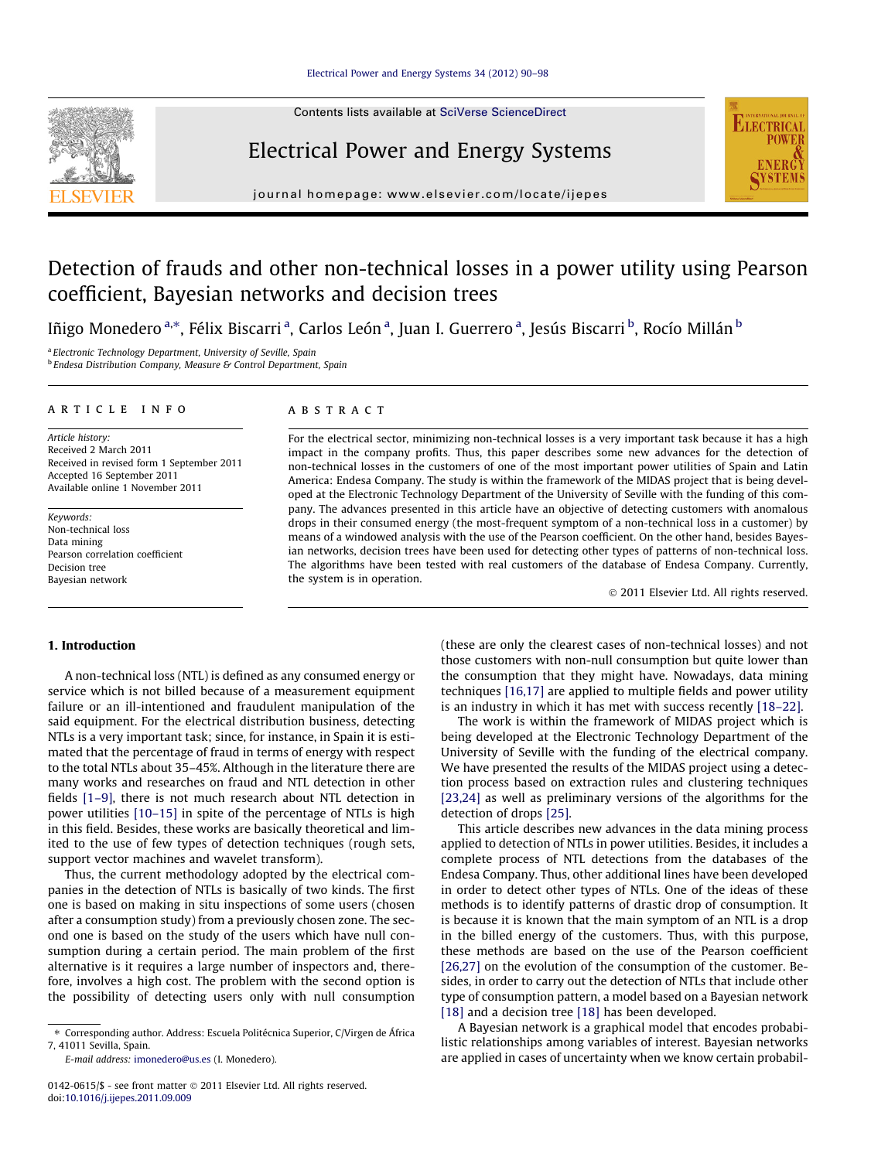Contents lists available at [SciVerse ScienceDirect](http://www.sciencedirect.com/science/journal/01420615)

### Electrical Power and Energy Systems



# **ELECTRICAL**

## Detection of frauds and other non-technical losses in a power utility using Pearson coefficient, Bayesian networks and decision trees

Iñigo Monedero <sup>a,</sup>\*, Félix Biscarri <sup>a</sup>, Carlos León <sup>a</sup>, Juan I. Guerrero <sup>a</sup>, Jesús Biscarri <sup>b</sup>, Rocío Millán <sup>b</sup>

<sup>a</sup> Electronic Technology Department, University of Seville, Spain  $b$  Endesa Distribution Company, Measure & Control Department, Spain

#### article info

Article history: Received 2 March 2011 Received in revised form 1 September 2011 Accepted 16 September 2011 Available online 1 November 2011

Keywords: Non-technical loss Data mining Pearson correlation coefficient Decision tree Bayesian network

#### ABSTRACT

For the electrical sector, minimizing non-technical losses is a very important task because it has a high impact in the company profits. Thus, this paper describes some new advances for the detection of non-technical losses in the customers of one of the most important power utilities of Spain and Latin America: Endesa Company. The study is within the framework of the MIDAS project that is being developed at the Electronic Technology Department of the University of Seville with the funding of this company. The advances presented in this article have an objective of detecting customers with anomalous drops in their consumed energy (the most-frequent symptom of a non-technical loss in a customer) by means of a windowed analysis with the use of the Pearson coefficient. On the other hand, besides Bayesian networks, decision trees have been used for detecting other types of patterns of non-technical loss. The algorithms have been tested with real customers of the database of Endesa Company. Currently, the system is in operation.

- 2011 Elsevier Ltd. All rights reserved.

#### 1. Introduction

A non-technical loss (NTL) is defined as any consumed energy or service which is not billed because of a measurement equipment failure or an ill-intentioned and fraudulent manipulation of the said equipment. For the electrical distribution business, detecting NTLs is a very important task; since, for instance, in Spain it is estimated that the percentage of fraud in terms of energy with respect to the total NTLs about 35–45%. Although in the literature there are many works and researches on fraud and NTL detection in other fields [\[1–9\]](#page--1-0), there is not much research about NTL detection in power utilities [\[10–15\]](#page--1-0) in spite of the percentage of NTLs is high in this field. Besides, these works are basically theoretical and limited to the use of few types of detection techniques (rough sets, support vector machines and wavelet transform).

Thus, the current methodology adopted by the electrical companies in the detection of NTLs is basically of two kinds. The first one is based on making in situ inspections of some users (chosen after a consumption study) from a previously chosen zone. The second one is based on the study of the users which have null consumption during a certain period. The main problem of the first alternative is it requires a large number of inspectors and, therefore, involves a high cost. The problem with the second option is the possibility of detecting users only with null consumption (these are only the clearest cases of non-technical losses) and not those customers with non-null consumption but quite lower than the consumption that they might have. Nowadays, data mining techniques [\[16,17\]](#page--1-0) are applied to multiple fields and power utility is an industry in which it has met with success recently [\[18–22\].](#page--1-0)

The work is within the framework of MIDAS project which is being developed at the Electronic Technology Department of the University of Seville with the funding of the electrical company. We have presented the results of the MIDAS project using a detection process based on extraction rules and clustering techniques [\[23,24\]](#page--1-0) as well as preliminary versions of the algorithms for the detection of drops [\[25\]](#page--1-0).

This article describes new advances in the data mining process applied to detection of NTLs in power utilities. Besides, it includes a complete process of NTL detections from the databases of the Endesa Company. Thus, other additional lines have been developed in order to detect other types of NTLs. One of the ideas of these methods is to identify patterns of drastic drop of consumption. It is because it is known that the main symptom of an NTL is a drop in the billed energy of the customers. Thus, with this purpose, these methods are based on the use of the Pearson coefficient [\[26,27\]](#page--1-0) on the evolution of the consumption of the customer. Besides, in order to carry out the detection of NTLs that include other type of consumption pattern, a model based on a Bayesian network [\[18\]](#page--1-0) and a decision tree [18] has been developed.

A Bayesian network is a graphical model that encodes probabilistic relationships among variables of interest. Bayesian networks are applied in cases of uncertainty when we know certain probabil-

<sup>⇑</sup> Corresponding author. Address: Escuela Politécnica Superior, C/Virgen de África 7, 41011 Sevilla, Spain.

E-mail address: [imonedero@us.es](mailto:imonedero@us.es) (I. Monedero).

<sup>0142-0615/\$ -</sup> see front matter © 2011 Elsevier Ltd. All rights reserved. doi:[10.1016/j.ijepes.2011.09.009](http://dx.doi.org/10.1016/j.ijepes.2011.09.009)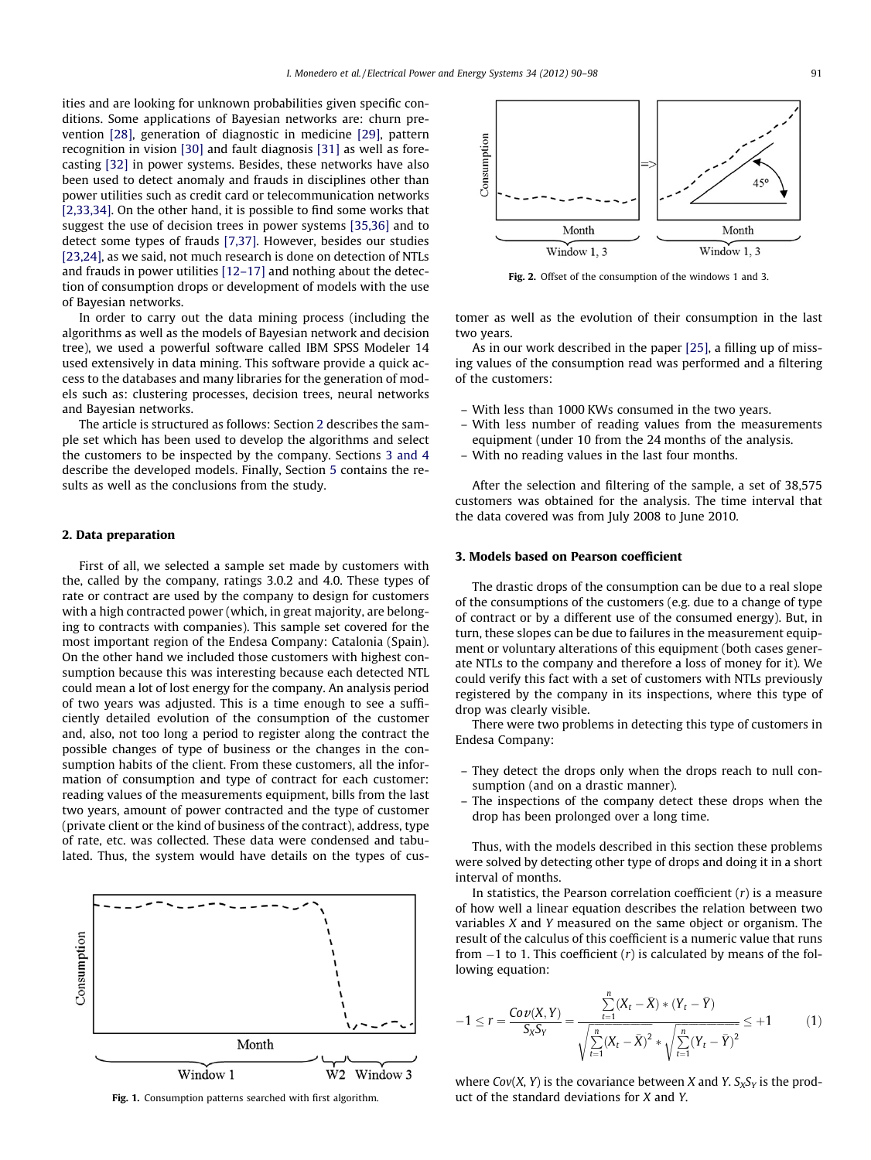ities and are looking for unknown probabilities given specific conditions. Some applications of Bayesian networks are: churn prevention [\[28\],](#page--1-0) generation of diagnostic in medicine [\[29\]](#page--1-0), pattern recognition in vision [\[30\]](#page--1-0) and fault diagnosis [\[31\]](#page--1-0) as well as forecasting [\[32\]](#page--1-0) in power systems. Besides, these networks have also been used to detect anomaly and frauds in disciplines other than power utilities such as credit card or telecommunication networks [\[2,33,34\]](#page--1-0). On the other hand, it is possible to find some works that suggest the use of decision trees in power systems [\[35,36\]](#page--1-0) and to detect some types of frauds [\[7,37\]](#page--1-0). However, besides our studies [\[23,24\]](#page--1-0), as we said, not much research is done on detection of NTLs and frauds in power utilities [\[12–17\]](#page--1-0) and nothing about the detection of consumption drops or development of models with the use of Bayesian networks.

In order to carry out the data mining process (including the algorithms as well as the models of Bayesian network and decision tree), we used a powerful software called IBM SPSS Modeler 14 used extensively in data mining. This software provide a quick access to the databases and many libraries for the generation of models such as: clustering processes, decision trees, neural networks and Bayesian networks.

The article is structured as follows: Section 2 describes the sample set which has been used to develop the algorithms and select the customers to be inspected by the company. Sections 3 and 4 describe the developed models. Finally, Section [5](#page--1-0) contains the results as well as the conclusions from the study.

#### 2. Data preparation

First of all, we selected a sample set made by customers with the, called by the company, ratings 3.0.2 and 4.0. These types of rate or contract are used by the company to design for customers with a high contracted power (which, in great majority, are belonging to contracts with companies). This sample set covered for the most important region of the Endesa Company: Catalonia (Spain). On the other hand we included those customers with highest consumption because this was interesting because each detected NTL could mean a lot of lost energy for the company. An analysis period of two years was adjusted. This is a time enough to see a sufficiently detailed evolution of the consumption of the customer and, also, not too long a period to register along the contract the possible changes of type of business or the changes in the consumption habits of the client. From these customers, all the information of consumption and type of contract for each customer: reading values of the measurements equipment, bills from the last two years, amount of power contracted and the type of customer (private client or the kind of business of the contract), address, type of rate, etc. was collected. These data were condensed and tabulated. Thus, the system would have details on the types of cus-





Fig. 2. Offset of the consumption of the windows 1 and 3.

tomer as well as the evolution of their consumption in the last two years.

As in our work described in the paper [\[25\]](#page--1-0), a filling up of missing values of the consumption read was performed and a filtering of the customers:

- With less than 1000 KWs consumed in the two years.
- With less number of reading values from the measurements equipment (under 10 from the 24 months of the analysis.
- With no reading values in the last four months.

After the selection and filtering of the sample, a set of 38,575 customers was obtained for the analysis. The time interval that the data covered was from July 2008 to June 2010.

#### 3. Models based on Pearson coefficient

The drastic drops of the consumption can be due to a real slope of the consumptions of the customers (e.g. due to a change of type of contract or by a different use of the consumed energy). But, in turn, these slopes can be due to failures in the measurement equipment or voluntary alterations of this equipment (both cases generate NTLs to the company and therefore a loss of money for it). We could verify this fact with a set of customers with NTLs previously registered by the company in its inspections, where this type of drop was clearly visible.

There were two problems in detecting this type of customers in Endesa Company:

- They detect the drops only when the drops reach to null consumption (and on a drastic manner).
- The inspections of the company detect these drops when the drop has been prolonged over a long time.

Thus, with the models described in this section these problems were solved by detecting other type of drops and doing it in a short interval of months.

In statistics, the Pearson correlation coefficient  $(r)$  is a measure of how well a linear equation describes the relation between two variables X and Y measured on the same object or organism. The result of the calculus of this coefficient is a numeric value that runs from  $-1$  to 1. This coefficient  $(r)$  is calculated by means of the following equation:

$$
-1 \le r = \frac{Cov(X, Y)}{S_X S_Y} = \frac{\sum_{t=1}^{n} (X_t - \bar{X}) \cdot (Y_t - \bar{Y})}{\sqrt{\sum_{t=1}^{n} (X_t - \bar{X})^2} \cdot \sqrt{\sum_{t=1}^{n} (Y_t - \bar{Y})^2}} \le +1
$$
(1)

where  $Cov(X, Y)$  is the covariance between X and Y.  $S_XS_Y$  is the prod-Fig. 1. Consumption patterns searched with first algorithm. When the standard deviations for X and Y.